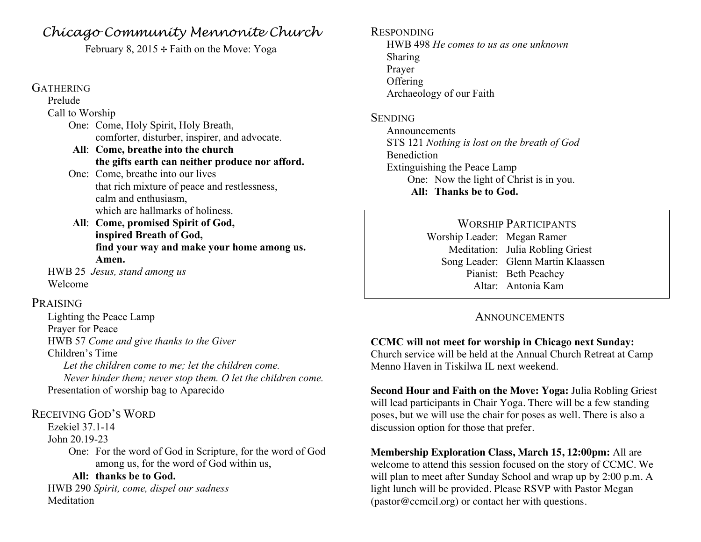# *Chicago Community Mennonite Church*

February 8, 2015  $\div$  Faith on the Move: Yoga

#### **GATHERING**

Prelude

#### Call to Worship

- One: Come, Holy Spirit, Holy Breath, comforter, disturber, inspirer, and advocate.
- **All**: **Come, breathe into the church the gifts earth can neither produce nor afford.**
- One: Come, breathe into our lives that rich mixture of peace and restlessness, calm and enthusiasm, which are hallmarks of holiness.
- **All**: **Come, promised Spirit of God, inspired Breath of God, find your way and make your home among us. Amen.**

HWB 25 *Jesus, stand among us* Welcome

#### PRAISING

Lighting the Peace Lamp Prayer for Peace HWB 57 *Come and give thanks to the Giver* Children's Time *Let the children come to me; let the children come. Never hinder them; never stop them. O let the children come.* Presentation of worship bag to Aparecido

#### RECEIVING GOD'S WORD

Ezekiel 37.1-14

#### John 20.19-23

One: For the word of God in Scripture, for the word of God among us, for the word of God within us,

#### **All: thanks be to God.**

HWB 290 *Spirit, come, dispel our sadness* **Meditation** 

#### RESPONDING HWB 498 *He comes to us as one unknown* Sharing Prayer **Offering** Archaeology of our Faith

#### **SENDING**

Announcements STS 121 *Nothing is lost on the breath of God* **Benediction** Extinguishing the Peace Lamp One: Now the light of Christ is in you. **All: Thanks be to God.**

> WORSHIP PARTICIPANTS Worship Leader: Megan Ramer Meditation: Julia Robling Griest Song Leader: Glenn Martin Klaassen Pianist: Beth Peachey Altar: Antonia Kam

## **ANNOUNCEMENTS**

## **CCMC will not meet for worship in Chicago next Sunday:**

Church service will be held at the Annual Church Retreat at Camp Menno Haven in Tiskilwa IL next weekend.

**Second Hour and Faith on the Move: Yoga:** Julia Robling Griest will lead participants in Chair Yoga. There will be a few standing poses, but we will use the chair for poses as well. There is also a discussion option for those that prefer.

#### **Membership Exploration Class, March 15, 12:00pm:** All are welcome to attend this session focused on the story of CCMC. We will plan to meet after Sunday School and wrap up by 2:00 p.m. A light lunch will be provided. Please RSVP with Pastor Megan (pastor@ccmcil.org) or contact her with questions.